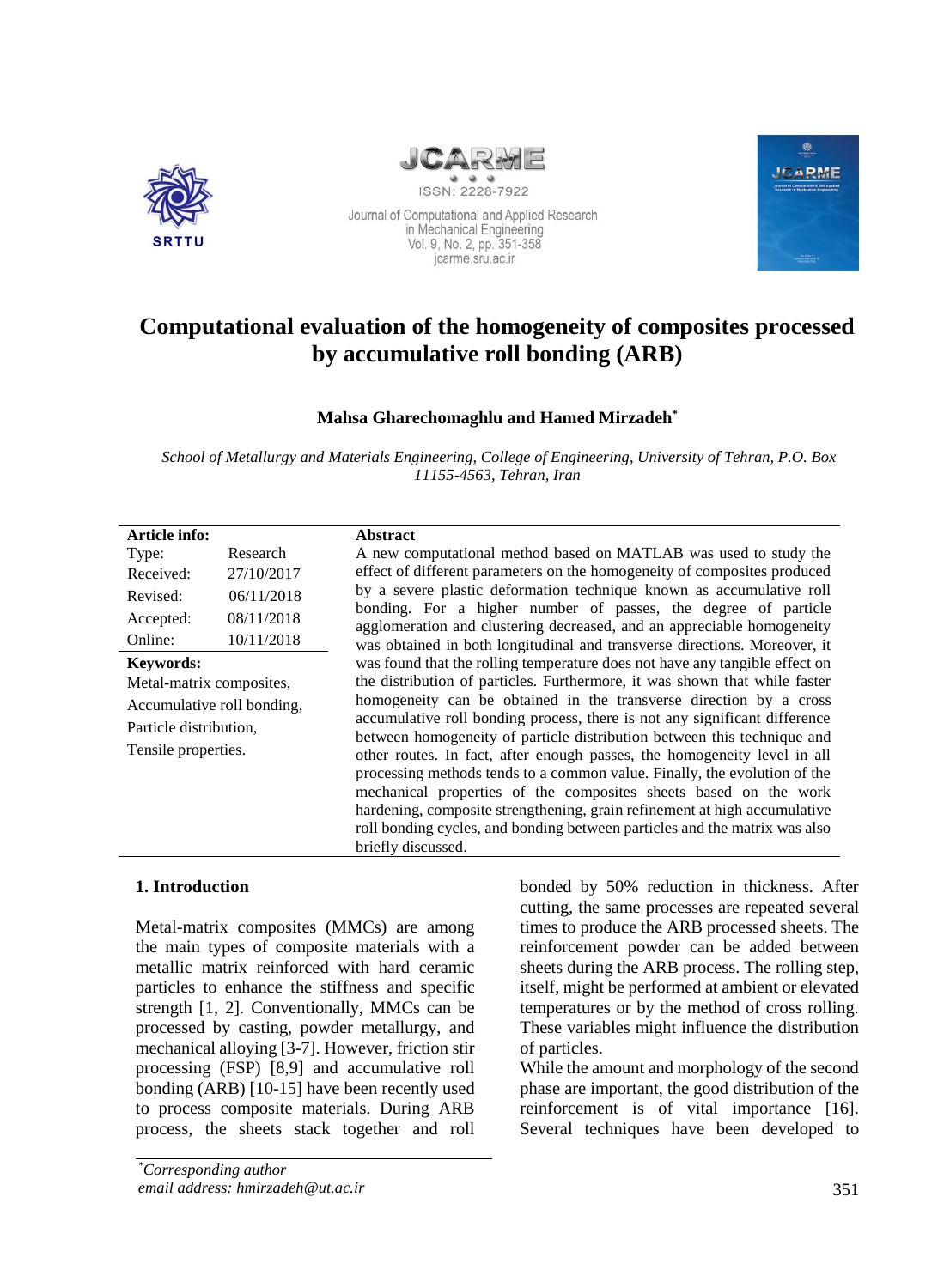



Journal of Computational and Applied Research in Mechanical Engineering Vol. 9, No. 2, pp. 351-358 icarme.sru.ac.ir



# **Computational evaluation of the homogeneity of composites processed by accumulative roll bonding (ARB)**

### **Mahsa Gharechomaghlu and Hamed Mirzadeh\***

*School of Metallurgy and Materials Engineering, College of Engineering, University of Tehran, P.O. Box 11155-4563, Tehran, Iran*

| Article info:              |            | <b>Abstract</b>                                                                                                                                                                                                                                                                                                                                                                                                                                                                       |
|----------------------------|------------|---------------------------------------------------------------------------------------------------------------------------------------------------------------------------------------------------------------------------------------------------------------------------------------------------------------------------------------------------------------------------------------------------------------------------------------------------------------------------------------|
| Type:                      | Research   | A new computational method based on MATLAB was used to study the                                                                                                                                                                                                                                                                                                                                                                                                                      |
| Received:                  | 27/10/2017 | effect of different parameters on the homogeneity of composites produced                                                                                                                                                                                                                                                                                                                                                                                                              |
| Revised:                   | 06/11/2018 | by a severe plastic deformation technique known as accumulative roll                                                                                                                                                                                                                                                                                                                                                                                                                  |
| Accepted:                  | 08/11/2018 | bonding. For a higher number of passes, the degree of particle<br>agglomeration and clustering decreased, and an appreciable homogeneity                                                                                                                                                                                                                                                                                                                                              |
| Online:                    | 10/11/2018 | was obtained in both longitudinal and transverse directions. Moreover, it                                                                                                                                                                                                                                                                                                                                                                                                             |
| <b>Keywords:</b>           |            | was found that the rolling temperature does not have any tangible effect on                                                                                                                                                                                                                                                                                                                                                                                                           |
| Metal-matrix composites,   |            | the distribution of particles. Furthermore, it was shown that while faster                                                                                                                                                                                                                                                                                                                                                                                                            |
| Accumulative roll bonding, |            | homogeneity can be obtained in the transverse direction by a cross                                                                                                                                                                                                                                                                                                                                                                                                                    |
| Particle distribution.     |            | accumulative roll bonding process, there is not any significant difference                                                                                                                                                                                                                                                                                                                                                                                                            |
| Tensile properties.        |            | between homogeneity of particle distribution between this technique and<br>other routes. In fact, after enough passes, the homogeneity level in all<br>processing methods tends to a common value. Finally, the evolution of the<br>mechanical properties of the composites sheets based on the work<br>hardening, composite strengthening, grain refinement at high accumulative<br>roll bonding cycles, and bonding between particles and the matrix was also<br>briefly discussed. |

### **1. Introduction**

Metal-matrix composites (MMCs) are among the main types of composite materials with a metallic matrix reinforced with hard ceramic particles to enhance the stiffness and specific strength [1, 2]. Conventionally, MMCs can be processed by casting, powder metallurgy, and mechanical alloying [3-7]. However, friction stir processing (FSP) [8,9] and accumulative roll bonding (ARB) [10-15] have been recently used to process composite materials. During ARB process, the sheets stack together and roll

bonded by 50% reduction in thickness. After cutting, the same processes are repeated several times to produce the ARB processed sheets. The reinforcement powder can be added between sheets during the ARB process. The rolling step, itself, might be performed at ambient or elevated temperatures or by the method of cross rolling. These variables might influence the distribution of particles.

While the amount and morphology of the second phase are important, the good distribution of the reinforcement is of vital importance [16]. Several techniques have been developed to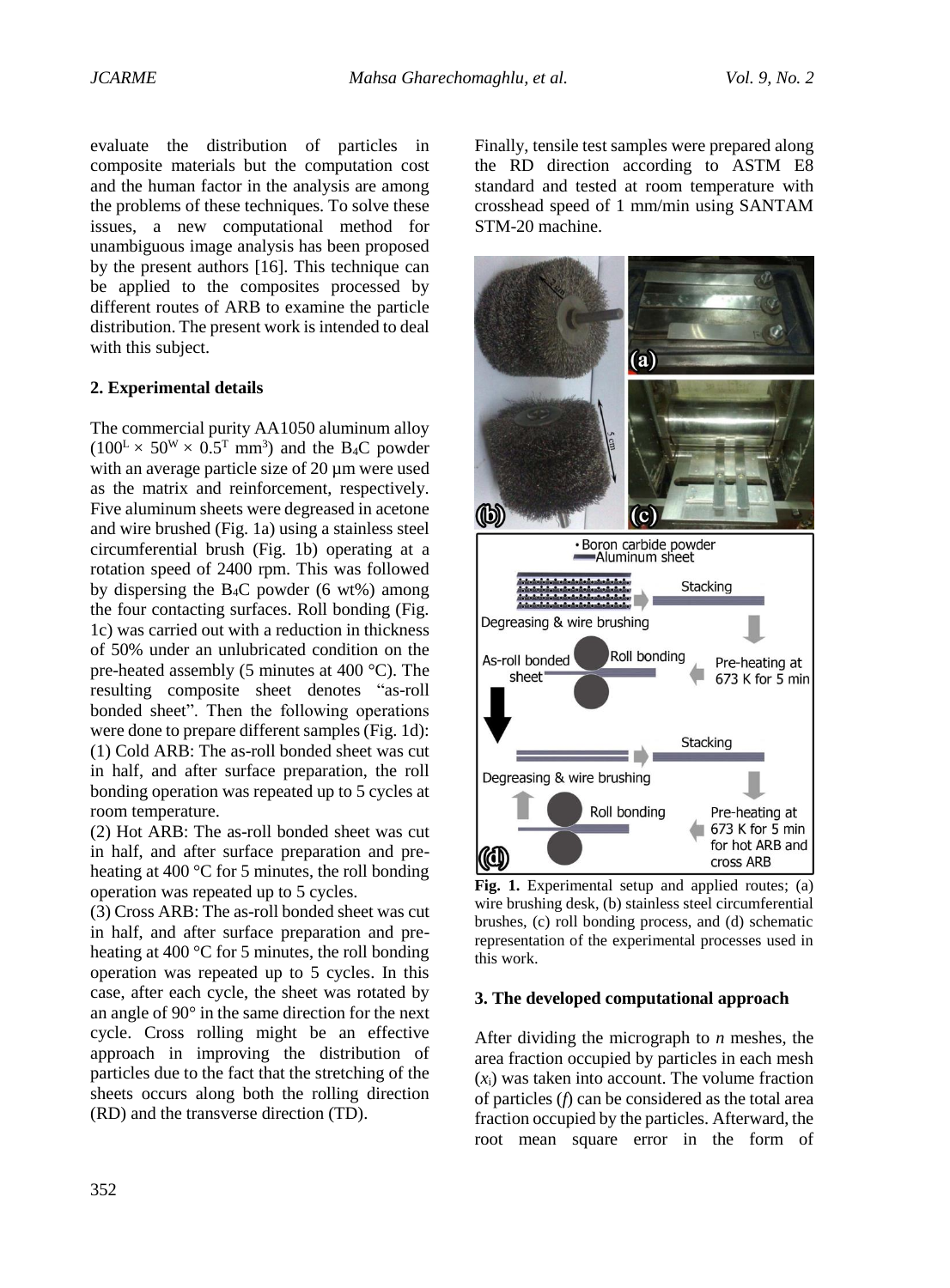evaluate the distribution of particles in composite materials but the computation cost and the human factor in the analysis are among the problems of these techniques. To solve these issues, a new computational method for unambiguous image analysis has been proposed by the present authors [16]. This technique can be applied to the composites processed by different routes of ARB to examine the particle distribution. The present work is intended to deal with this subject.

#### **2. Experimental details**

The commercial purity AA1050 aluminum alloy  $(100^L \times 50^W \times 0.5^T \text{ mm}^3)$  and the B<sub>4</sub>C powder with an average particle size of 20  $\mu$ m were used as the matrix and reinforcement, respectively. Five aluminum sheets were degreased in acetone and wire brushed (Fig. 1a) using a stainless steel circumferential brush (Fig. 1b) operating at a rotation speed of 2400 rpm. This was followed by dispersing the  $B_4C$  powder (6 wt%) among the four contacting surfaces. Roll bonding (Fig. 1c) was carried out with a reduction in thickness of 50% under an unlubricated condition on the pre-heated assembly (5 minutes at 400 °C). The resulting composite sheet denotes "as-roll bonded sheet". Then the following operations were done to prepare different samples (Fig. 1d): (1) Cold ARB: The as-roll bonded sheet was cut in half, and after surface preparation, the roll bonding operation was repeated up to 5 cycles at room temperature.

(2) Hot ARB: The as-roll bonded sheet was cut in half, and after surface preparation and preheating at 400 °C for 5 minutes, the roll bonding operation was repeated up to 5 cycles.

(3) Cross ARB: The as-roll bonded sheet was cut in half, and after surface preparation and preheating at 400 °C for 5 minutes, the roll bonding operation was repeated up to 5 cycles. In this case, after each cycle, the sheet was rotated by an angle of 90° in the same direction for the next cycle. Cross rolling might be an effective approach in improving the distribution of particles due to the fact that the stretching of the sheets occurs along both the rolling direction (RD) and the transverse direction (TD).

Finally, tensile test samples were prepared along the RD direction according to ASTM E8 standard and tested at room temperature with crosshead speed of 1 mm/min using SANTAM STM-20 machine.



**Fig. 1.** Experimental setup and applied routes; (a) wire brushing desk, (b) stainless steel circumferential brushes, (c) roll bonding process, and (d) schematic representation of the experimental processes used in this work.

#### **3. The developed computational approach**

After dividing the micrograph to *n* meshes, the area fraction occupied by particles in each mesh  $(x<sub>i</sub>)$  was taken into account. The volume fraction of particles (*f*) can be considered as the total area fraction occupied by the particles. Afterward, the root mean square error in the form of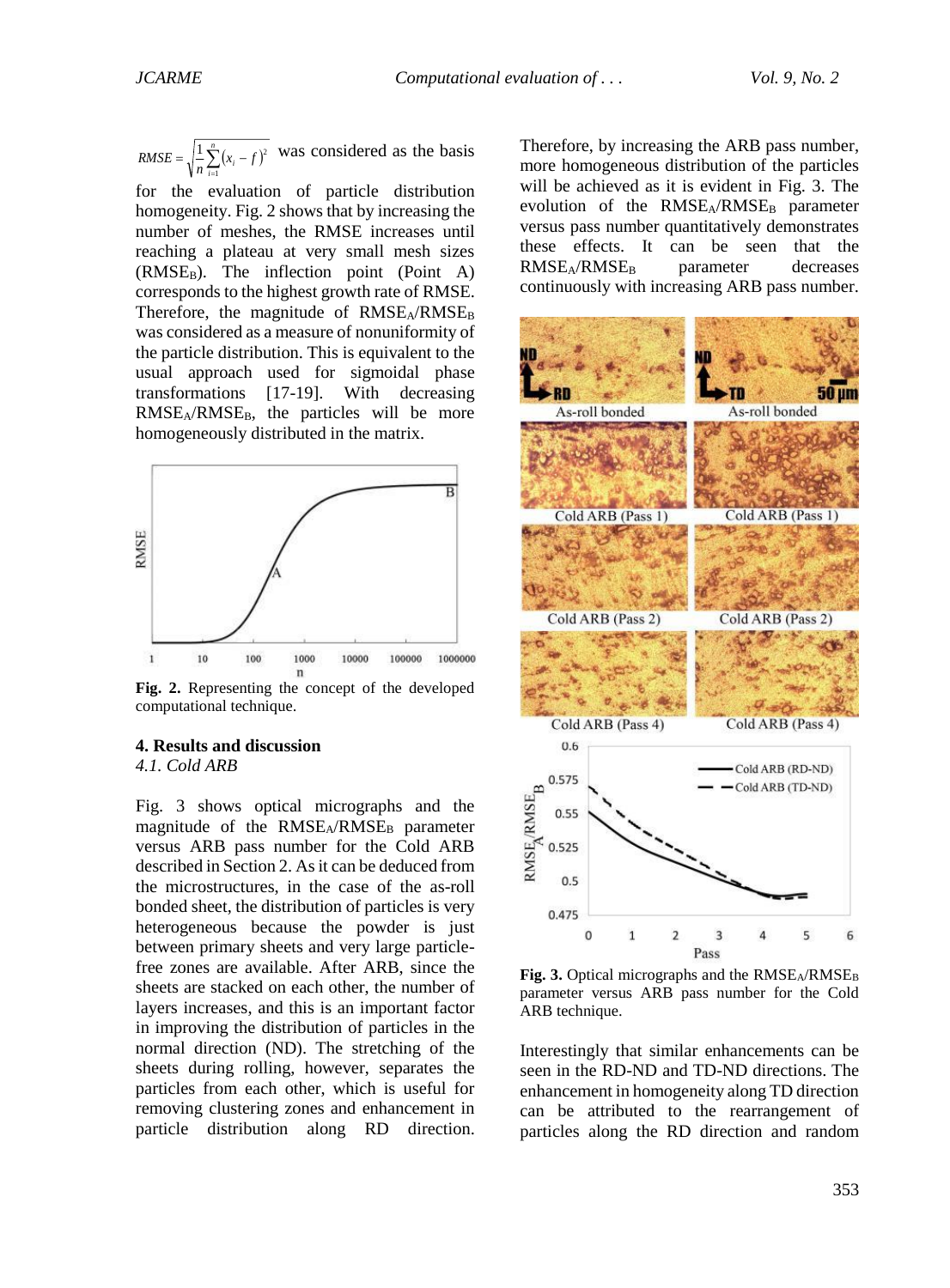$=\sqrt{\frac{1}{x}\sum_{i}(x_i-f)^2}$ *n i*  $RMSE = \sqrt{\frac{1}{n} \sum_{i=1}^{n} (x_i - f)^2}$  was considered as the basis 1

for the evaluation of particle distribution homogeneity. Fig. 2 shows that by increasing the number of meshes, the RMSE increases until reaching a plateau at very small mesh sizes  $(RMSE_B)$ . The inflection point (Point A) corresponds to the highest growth rate of RMSE. Therefore, the magnitude of  $RMSE<sub>A</sub>/RMSE<sub>B</sub>$ was considered as a measure of nonuniformity of the particle distribution. This is equivalent to the usual approach used for sigmoidal phase transformations [17-19]. With decreasing RMSE<sub>A</sub>/RMSE<sub>B</sub>, the particles will be more homogeneously distributed in the matrix.



**Fig. 2.** Representing the concept of the developed computational technique.

#### **4. Results and discussion** *4.1. Cold ARB*

Fig. 3 shows optical micrographs and the magnitude of the  $RMSE<sub>A</sub>/RMSE<sub>B</sub>$  parameter versus ARB pass number for the Cold ARB described in Section 2. As it can be deduced from the microstructures, in the case of the as-roll bonded sheet, the distribution of particles is very heterogeneous because the powder is just between primary sheets and very large particlefree zones are available. After ARB, since the sheets are stacked on each other, the number of layers increases, and this is an important factor in improving the distribution of particles in the normal direction (ND). The stretching of the sheets during rolling, however, separates the particles from each other, which is useful for removing clustering zones and enhancement in particle distribution along RD direction.

Therefore, by increasing the ARB pass number, more homogeneous distribution of the particles will be achieved as it is evident in Fig. 3. The evolution of the  $RMSE<sub>A</sub>/RMSE<sub>B</sub>$  parameter versus pass number quantitatively demonstrates these effects. It can be seen that the  $RMSE<sub>A</sub>/RMSE<sub>B</sub>$  parameter decreases continuously with increasing ARB pass number.



**Fig. 3.** Optical micrographs and the  $RMSE<sub>A</sub>/RMSE<sub>B</sub>$ parameter versus ARB pass number for the Cold ARB technique.

Interestingly that similar enhancements can be seen in the RD-ND and TD-ND directions. The enhancement in homogeneity along TD direction can be attributed to the rearrangement of particles along the RD direction and random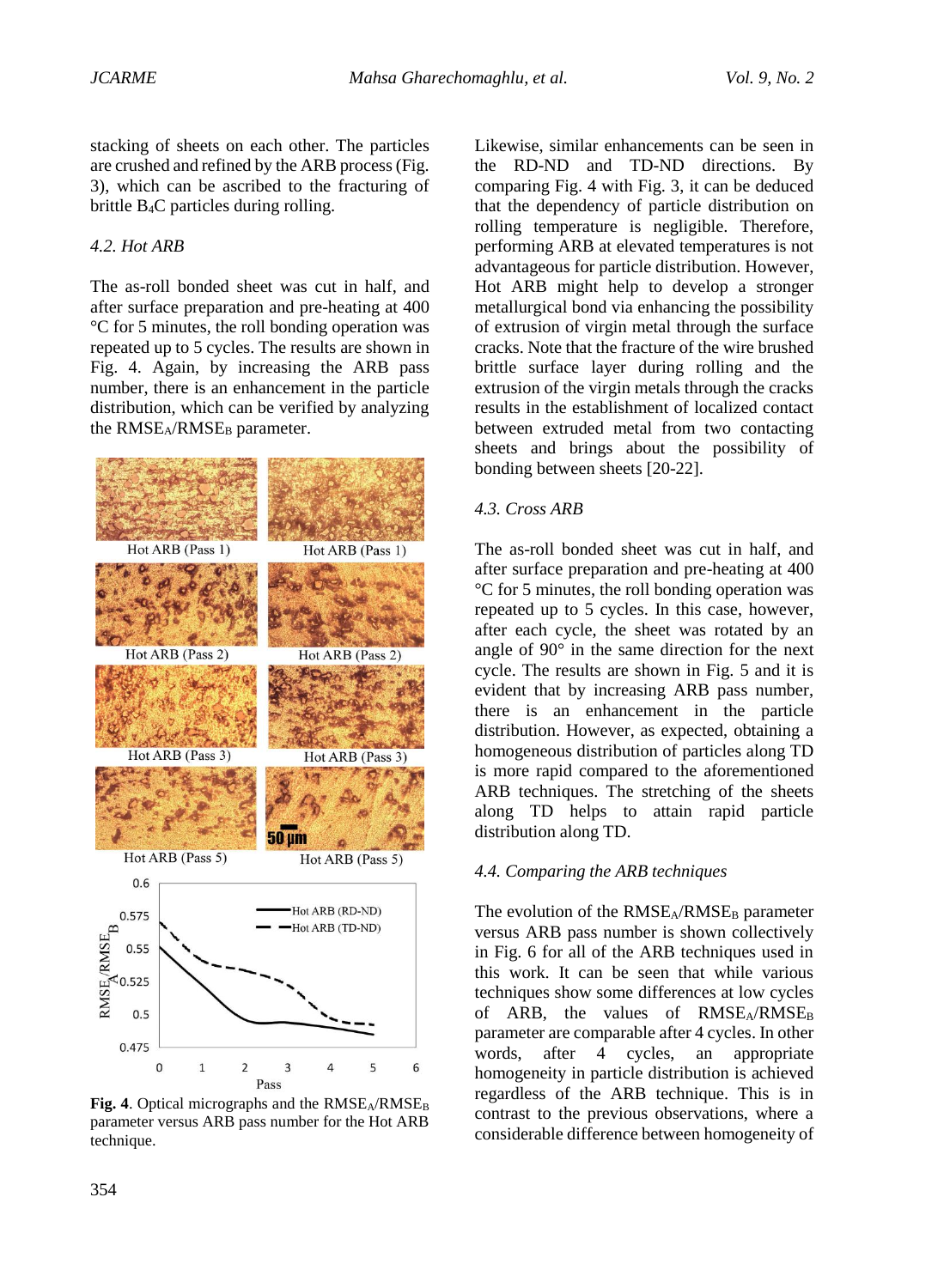stacking of sheets on each other. The particles are crushed and refined by the ARB process (Fig. 3), which can be ascribed to the fracturing of brittle B4C particles during rolling.

#### *4.2. Hot ARB*

The as-roll bonded sheet was cut in half, and after surface preparation and pre-heating at 400 °C for 5 minutes, the roll bonding operation was repeated up to 5 cycles. The results are shown in Fig. 4. Again, by increasing the ARB pass number, there is an enhancement in the particle distribution, which can be verified by analyzing the  $RMSE<sub>A</sub>/RMSE<sub>B</sub>$  parameter.



**Fig. 4**. Optical micrographs and the  $RMSE<sub>A</sub>/RMSE<sub>B</sub>$ parameter versus ARB pass number for the Hot ARB technique.

Likewise, similar enhancements can be seen in the RD-ND and TD-ND directions. By comparing Fig. 4 with Fig. 3, it can be deduced that the dependency of particle distribution on rolling temperature is negligible. Therefore, performing ARB at elevated temperatures is not advantageous for particle distribution. However, Hot ARB might help to develop a stronger metallurgical bond via enhancing the possibility of extrusion of virgin metal through the surface cracks. Note that the fracture of the wire brushed brittle surface layer during rolling and the extrusion of the virgin metals through the cracks results in the establishment of localized contact between extruded metal from two contacting sheets and brings about the possibility of bonding between sheets [20-22].

#### *4.3. Cross ARB*

The as-roll bonded sheet was cut in half, and after surface preparation and pre-heating at 400 °C for 5 minutes, the roll bonding operation was repeated up to 5 cycles. In this case, however, after each cycle, the sheet was rotated by an angle of 90° in the same direction for the next cycle. The results are shown in Fig. 5 and it is evident that by increasing ARB pass number, there is an enhancement in the particle distribution. However, as expected, obtaining a homogeneous distribution of particles along TD is more rapid compared to the aforementioned ARB techniques. The stretching of the sheets along TD helps to attain rapid particle distribution along TD.

#### *4.4. Comparing the ARB techniques*

The evolution of the  $RMSE<sub>A</sub>/RMSE<sub>B</sub>$  parameter versus ARB pass number is shown collectively in Fig. 6 for all of the ARB techniques used in this work. It can be seen that while various techniques show some differences at low cycles of ARB, the values of  $RMSE<sub>A</sub>/RMSE<sub>B</sub>$ parameter are comparable after 4 cycles. In other words, after 4 cycles, an appropriate homogeneity in particle distribution is achieved regardless of the ARB technique. This is in contrast to the previous observations, where a considerable difference between homogeneity of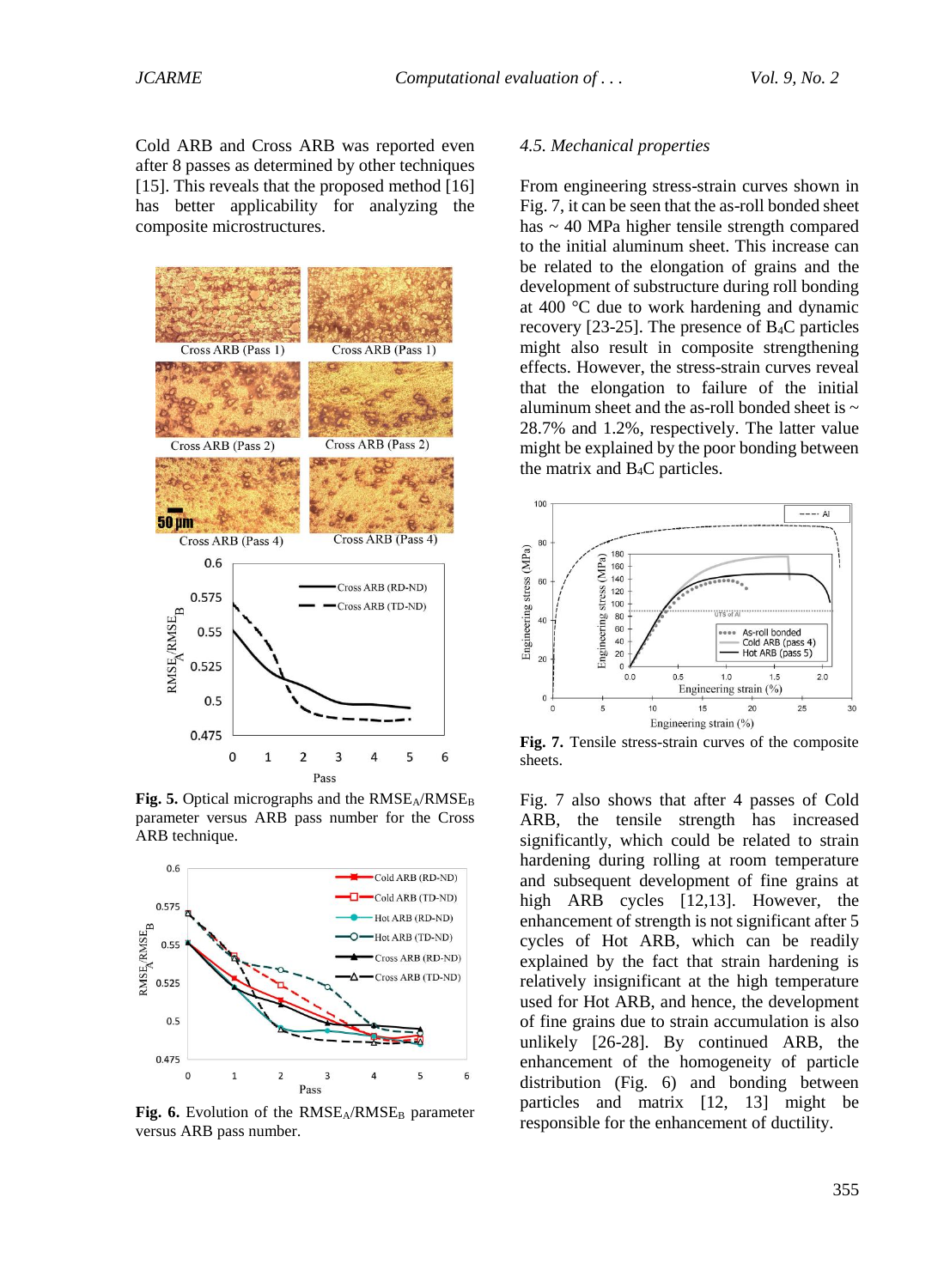Cold ARB and Cross ARB was reported even after 8 passes as determined by other techniques [15]. This reveals that the proposed method [16] has better applicability for analyzing the composite microstructures.



**Fig. 5.** Optical micrographs and the  $RMSE<sub>A</sub>/RMSE<sub>B</sub>$ parameter versus ARB pass number for the Cross ARB technique.



Fig. 6. Evolution of the RMSE<sub>A</sub>/RMSE<sub>B</sub> parameter versus ARB pass number.

#### *4.5. Mechanical properties*

From engineering stress-strain curves shown in Fig. 7, it can be seen that the as-roll bonded sheet has  $\sim$  40 MPa higher tensile strength compared to the initial aluminum sheet. This increase can be related to the elongation of grains and the development of substructure during roll bonding at 400 °C due to work hardening and dynamic recovery [23-25]. The presence of B4C particles might also result in composite strengthening effects. However, the stress-strain curves reveal that the elongation to failure of the initial aluminum sheet and the as-roll bonded sheet is  $\sim$ 28.7% and 1.2%, respectively. The latter value might be explained by the poor bonding between the matrix and B4C particles.



**Fig. 7.** Tensile stress-strain curves of the composite sheets.

Fig. 7 also shows that after 4 passes of Cold ARB, the tensile strength has increased significantly, which could be related to strain hardening during rolling at room temperature and subsequent development of fine grains at high ARB cycles [12,13]. However, the enhancement of strength is not significant after 5 cycles of Hot ARB, which can be readily explained by the fact that strain hardening is relatively insignificant at the high temperature used for Hot ARB, and hence, the development of fine grains due to strain accumulation is also unlikely [26-28]. By continued ARB, the enhancement of the homogeneity of particle distribution (Fig. 6) and bonding between particles and matrix [12, 13] might be responsible for the enhancement of ductility.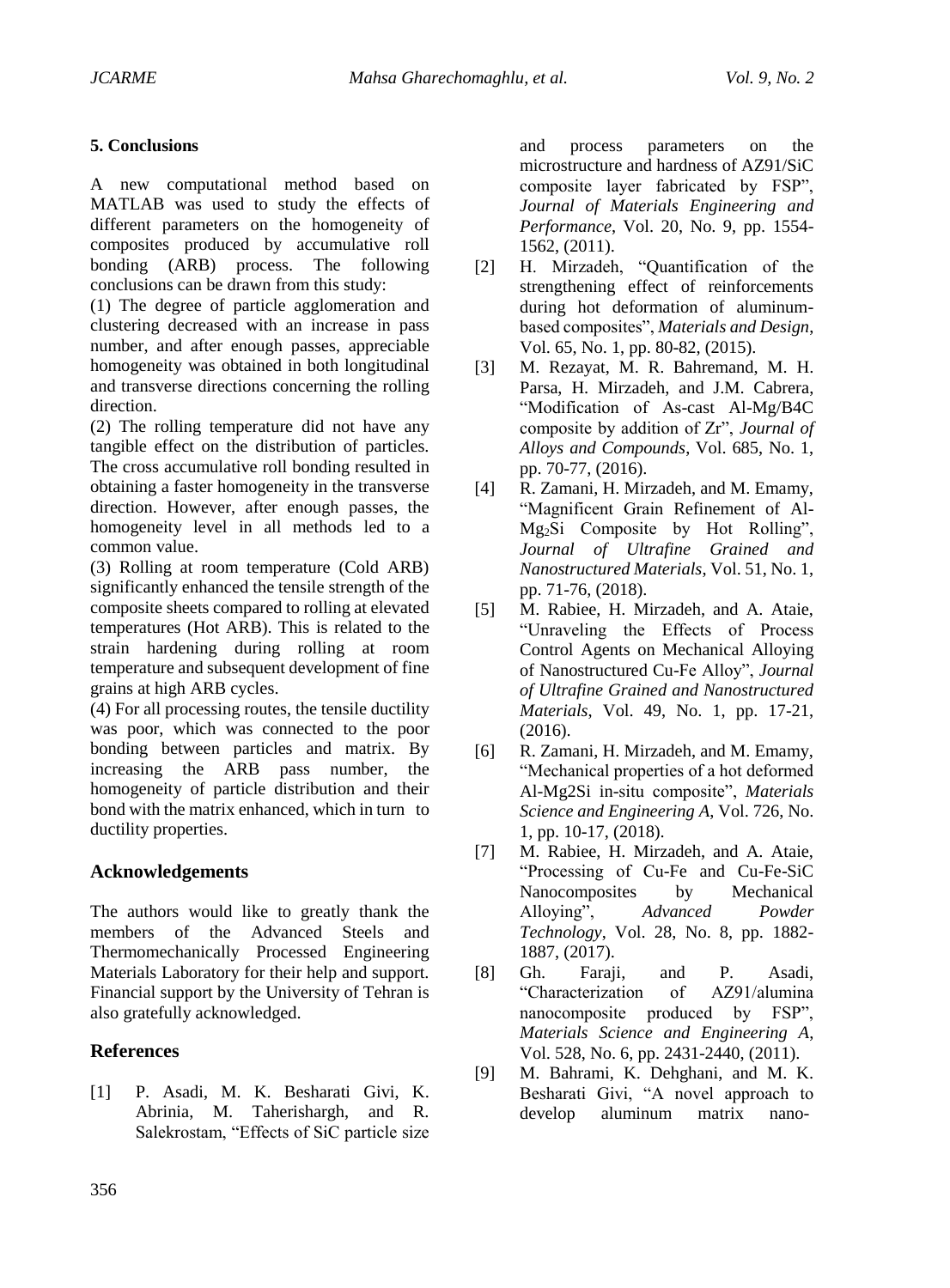### **5. Conclusions**

A new computational method based on MATLAB was used to study the effects of different parameters on the homogeneity of composites produced by accumulative roll bonding (ARB) process. The following conclusions can be drawn from this study:

(1) The degree of particle agglomeration and clustering decreased with an increase in pass number, and after enough passes, appreciable homogeneity was obtained in both longitudinal and transverse directions concerning the rolling direction.

(2) The rolling temperature did not have any tangible effect on the distribution of particles. The cross accumulative roll bonding resulted in obtaining a faster homogeneity in the transverse direction. However, after enough passes, the homogeneity level in all methods led to a common value.

(3) Rolling at room temperature (Cold ARB) significantly enhanced the tensile strength of the composite sheets compared to rolling at elevated temperatures (Hot ARB). This is related to the strain hardening during rolling at room temperature and subsequent development of fine grains at high ARB cycles.

(4) For all processing routes, the tensile ductility was poor, which was connected to the poor bonding between particles and matrix. By increasing the ARB pass number, the homogeneity of particle distribution and their bond with the matrix enhanced, which in turn to ductility properties.

### **Acknowledgements**

The authors would like to greatly thank the members of the Advanced Steels and Thermomechanically Processed Engineering Materials Laboratory for their help and support. Financial support by the University of Tehran is also gratefully acknowledged.

### **References**

[1] P. Asadi, M. K. Besharati Givi, K. Abrinia, M. Taherishargh, and R. Salekrostam, "Effects of SiC particle size and process parameters on the microstructure and hardness of AZ91/SiC composite layer fabricated by FSP", *Journal of Materials Engineering and Performance*, Vol. 20, No. 9, pp. 1554- 1562, (2011).

- [2] H. Mirzadeh, "Quantification of the strengthening effect of reinforcements during hot deformation of aluminumbased composites", *Materials and Design*, Vol. 65, No. 1, pp. 80-82, (2015).
- [3] M. Rezayat, M. R. Bahremand, M. H. Parsa, H. Mirzadeh, and J.M. Cabrera, "Modification of As-cast Al-Mg/B4C composite by addition of Zr", *Journal of Alloys and Compounds*, Vol. 685, No. 1, pp. 70-77, (2016).
- [4] R. Zamani, H. Mirzadeh, and M. Emamy, "Magnificent Grain Refinement of Al-Mg2Si Composite by Hot Rolling", *Journal of Ultrafine Grained and Nanostructured Materials*, Vol. 51, No. 1, pp. 71-76, (2018).
- [5] M. Rabiee, H. Mirzadeh, and A. Ataie, "Unraveling the Effects of Process Control Agents on Mechanical Alloying of Nanostructured Cu-Fe Alloy", *Journal of Ultrafine Grained and Nanostructured Materials*, Vol. 49, No. 1, pp. 17-21, (2016).
- [6] R. Zamani, H. Mirzadeh, and M. Emamy, "Mechanical properties of a hot deformed Al-Mg2Si in-situ composite", *Materials Science and Engineering A*, Vol. 726, No. 1, pp. 10-17, (2018).
- [7] M. Rabiee, H. Mirzadeh, and A. Ataie, "Processing of Cu-Fe and Cu-Fe-SiC Nanocomposites by Mechanical Alloying", *Advanced Powder Technology*, Vol. 28, No. 8, pp. 1882- 1887, (2017).
- [8] Gh. Faraji, and P. Asadi, "Characterization of AZ91/alumina nanocomposite produced by FSP", *Materials Science and Engineering A*, Vol. 528, No. 6, pp. 2431-2440, (2011).
- [9] M. Bahrami, K. Dehghani, and M. K. Besharati Givi, "A novel approach to develop aluminum matrix nano-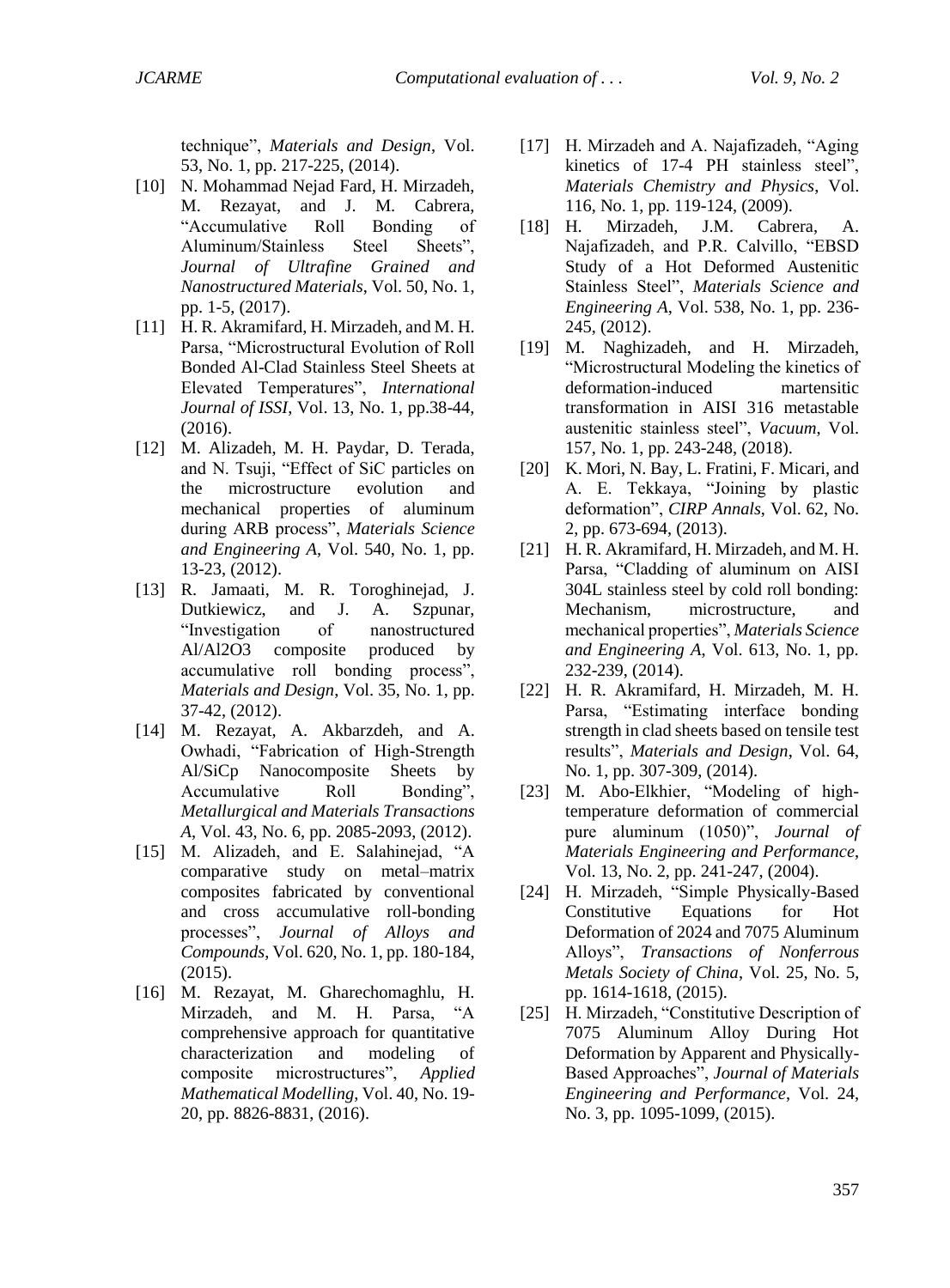- [10] N. Mohammad Nejad Fard, H. Mirzadeh, M. Rezayat, and J. M. Cabrera, "Accumulative Roll Bonding of Aluminum/Stainless Steel Sheets", *Journal of Ultrafine Grained and Nanostructured Materials*, Vol. 50, No. 1, pp. 1-5, (2017).
- [11] H. R. Akramifard, H. Mirzadeh, and M. H. Parsa, "Microstructural Evolution of Roll Bonded Al-Clad Stainless Steel Sheets at Elevated Temperatures", *International Journal of ISSI*, Vol. 13, No. 1, pp.38-44, (2016).
- [12] M. Alizadeh, M. H. Paydar, D. Terada, and N. Tsuji, "Effect of SiC particles on the microstructure evolution and mechanical properties of aluminum during ARB process", *Materials Science and Engineering A*, Vol. 540, No. 1, pp. 13-23, (2012).
- [13] R. Jamaati, M. R. Toroghinejad, J. Dutkiewicz, and J. A. Szpunar, "Investigation of nanostructured Al/Al2O3 composite produced by accumulative roll bonding process", *Materials and Design*, Vol. 35, No. 1, pp. 37-42, (2012).
- [14] M. Rezayat, A. Akbarzdeh, and A. Owhadi, "Fabrication of High-Strength Al/SiCp Nanocomposite Sheets by Accumulative Roll Bonding", *Metallurgical and Materials Transactions A*, Vol. 43, No. 6, pp. 2085-2093, (2012).
- [15] M. Alizadeh, and E. Salahinejad, "A comparative study on metal–matrix composites fabricated by conventional and cross accumulative roll-bonding processes", *Journal of Alloys and Compounds*, Vol. 620, No. 1, pp. 180-184, (2015).
- [16] M. Rezayat, M. Gharechomaghlu, H. Mirzadeh, and M. H. Parsa, "A comprehensive approach for quantitative characterization and modeling of composite microstructures", *Applied Mathematical Modelling*, Vol. 40, No. 19- 20, pp. 8826-8831, (2016).
- [17] H. Mirzadeh and A. Najafizadeh, "Aging kinetics of 17-4 PH stainless steel", *Materials Chemistry and Physics*, Vol. 116, No. 1, pp. 119-124, (2009).
- [18] H. Mirzadeh, J.M. Cabrera, A. Najafizadeh, and P.R. Calvillo, "EBSD Study of a Hot Deformed Austenitic Stainless Steel", *Materials Science and Engineering A*, Vol. 538, No. 1, pp. 236- 245, (2012).
- [19] M. Naghizadeh, and H. Mirzadeh, "Microstructural Modeling the kinetics of deformation-induced martensitic transformation in AISI 316 metastable austenitic stainless steel", *Vacuum*, Vol. 157, No. 1, pp. 243-248, (2018).
- [20] K. Mori, N. Bay, L. Fratini, F. Micari, and A. E. Tekkaya, "Joining by plastic deformation", *CIRP Annals*, Vol. 62, No. 2, pp. 673-694, (2013).
- [21] H. R. Akramifard, H. Mirzadeh, and M. H. Parsa, "Cladding of aluminum on AISI 304L stainless steel by cold roll bonding: Mechanism, microstructure, and mechanical properties", *Materials Science and Engineering A*, Vol. 613, No. 1, pp. 232-239, (2014).
- [22] H. R. Akramifard, H. Mirzadeh, M. H. Parsa, "Estimating interface bonding strength in clad sheets based on tensile test results", *Materials and Design*, Vol. 64, No. 1, pp. 307-309, (2014).
- [23] M. Abo-Elkhier, "Modeling of hightemperature deformation of commercial pure aluminum (1050)", *Journal of Materials Engineering and Performance*, Vol. 13, No. 2, pp. 241-247, (2004).
- [24] H. Mirzadeh, "Simple Physically-Based Constitutive Equations for Hot Deformation of 2024 and 7075 Aluminum Alloys", *Transactions of Nonferrous Metals Society of China*, Vol. 25, No. 5, pp. 1614-1618, (2015).
- [25] H. Mirzadeh, "Constitutive Description of 7075 Aluminum Alloy During Hot Deformation by Apparent and Physically-Based Approaches", *Journal of Materials Engineering and Performance*, Vol. 24, No. 3, pp. 1095-1099, (2015).